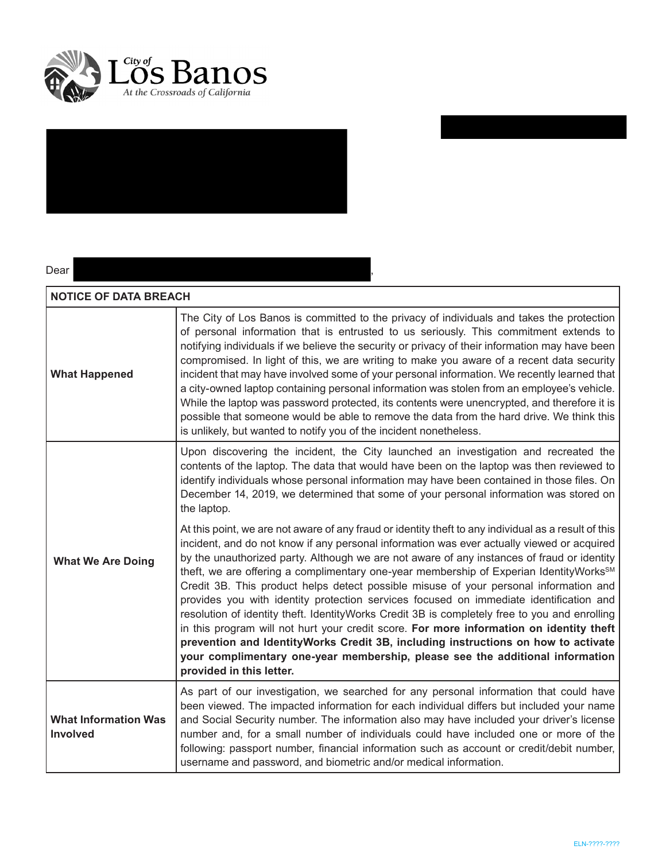



### Dear ,

| <b>NOTICE OF DATA BREACH</b>            |                                                                                                                                                                                                                                                                                                                                                                                                                                                                                                                                                                                                                                                                                                                                                                                                                                                                                                                                                                                         |  |
|-----------------------------------------|-----------------------------------------------------------------------------------------------------------------------------------------------------------------------------------------------------------------------------------------------------------------------------------------------------------------------------------------------------------------------------------------------------------------------------------------------------------------------------------------------------------------------------------------------------------------------------------------------------------------------------------------------------------------------------------------------------------------------------------------------------------------------------------------------------------------------------------------------------------------------------------------------------------------------------------------------------------------------------------------|--|
| <b>What Happened</b>                    | The City of Los Banos is committed to the privacy of individuals and takes the protection<br>of personal information that is entrusted to us seriously. This commitment extends to<br>notifying individuals if we believe the security or privacy of their information may have been<br>compromised. In light of this, we are writing to make you aware of a recent data security<br>incident that may have involved some of your personal information. We recently learned that<br>a city-owned laptop containing personal information was stolen from an employee's vehicle.<br>While the laptop was password protected, its contents were unencrypted, and therefore it is<br>possible that someone would be able to remove the data from the hard drive. We think this<br>is unlikely, but wanted to notify you of the incident nonetheless.                                                                                                                                        |  |
| <b>What We Are Doing</b>                | Upon discovering the incident, the City launched an investigation and recreated the<br>contents of the laptop. The data that would have been on the laptop was then reviewed to<br>identify individuals whose personal information may have been contained in those files. On<br>December 14, 2019, we determined that some of your personal information was stored on<br>the laptop.                                                                                                                                                                                                                                                                                                                                                                                                                                                                                                                                                                                                   |  |
|                                         | At this point, we are not aware of any fraud or identity theft to any individual as a result of this<br>incident, and do not know if any personal information was ever actually viewed or acquired<br>by the unauthorized party. Although we are not aware of any instances of fraud or identity<br>theft, we are offering a complimentary one-year membership of Experian IdentityWorks <sup>SM</sup><br>Credit 3B. This product helps detect possible misuse of your personal information and<br>provides you with identity protection services focused on immediate identification and<br>resolution of identity theft. IdentityWorks Credit 3B is completely free to you and enrolling<br>in this program will not hurt your credit score. For more information on identity theft<br>prevention and IdentityWorks Credit 3B, including instructions on how to activate<br>your complimentary one-year membership, please see the additional information<br>provided in this letter. |  |
| <b>What Information Was</b><br>Involved | As part of our investigation, we searched for any personal information that could have<br>been viewed. The impacted information for each individual differs but included your name<br>and Social Security number. The information also may have included your driver's license<br>number and, for a small number of individuals could have included one or more of the<br>following: passport number, financial information such as account or credit/debit number,<br>username and password, and biometric and/or medical information.                                                                                                                                                                                                                                                                                                                                                                                                                                                 |  |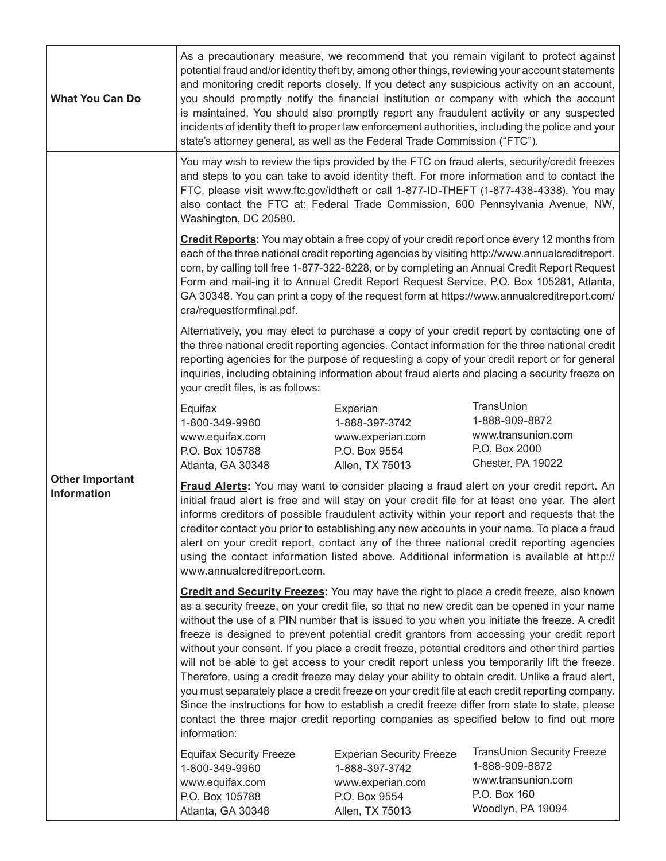| <b>What You Can Do</b>                       | As a precautionary measure, we recommend that you remain vigilant to protect against<br>potential fraud and/or identity theft by, among other things, reviewing your account statements<br>and monitoring credit reports closely. If you detect any suspicious activity on an account,<br>you should promptly notify the financial institution or company with which the account<br>is maintained. You should also promptly report any fraudulent activity or any suspected<br>incidents of identity theft to proper law enforcement authorities, including the police and your<br>state's attorney general, as well as the Federal Trade Commission ("FTC").                                                                                                                                                                                                                                                                                                                                                    |                                                                                                           |                                                                                                         |  |
|----------------------------------------------|------------------------------------------------------------------------------------------------------------------------------------------------------------------------------------------------------------------------------------------------------------------------------------------------------------------------------------------------------------------------------------------------------------------------------------------------------------------------------------------------------------------------------------------------------------------------------------------------------------------------------------------------------------------------------------------------------------------------------------------------------------------------------------------------------------------------------------------------------------------------------------------------------------------------------------------------------------------------------------------------------------------|-----------------------------------------------------------------------------------------------------------|---------------------------------------------------------------------------------------------------------|--|
| <b>Other Important</b><br><b>Information</b> | You may wish to review the tips provided by the FTC on fraud alerts, security/credit freezes<br>and steps to you can take to avoid identity theft. For more information and to contact the<br>FTC, please visit www.ftc.gov/idtheft or call 1-877-ID-THEFT (1-877-438-4338). You may<br>also contact the FTC at: Federal Trade Commission, 600 Pennsylvania Avenue, NW,<br>Washington, DC 20580.                                                                                                                                                                                                                                                                                                                                                                                                                                                                                                                                                                                                                 |                                                                                                           |                                                                                                         |  |
|                                              | Credit Reports: You may obtain a free copy of your credit report once every 12 months from<br>each of the three national credit reporting agencies by visiting http://www.annualcreditreport.<br>com, by calling toll free 1-877-322-8228, or by completing an Annual Credit Report Request<br>Form and mail-ing it to Annual Credit Report Request Service, P.O. Box 105281, Atlanta,<br>GA 30348. You can print a copy of the request form at https://www.annualcreditreport.com/<br>cra/requestformfinal.pdf.                                                                                                                                                                                                                                                                                                                                                                                                                                                                                                 |                                                                                                           |                                                                                                         |  |
|                                              | Alternatively, you may elect to purchase a copy of your credit report by contacting one of<br>the three national credit reporting agencies. Contact information for the three national credit<br>reporting agencies for the purpose of requesting a copy of your credit report or for general<br>inquiries, including obtaining information about fraud alerts and placing a security freeze on<br>your credit files, is as follows:                                                                                                                                                                                                                                                                                                                                                                                                                                                                                                                                                                             |                                                                                                           |                                                                                                         |  |
|                                              | Equifax<br>1-800-349-9960<br>www.equifax.com<br>P.O. Box 105788<br>Atlanta, GA 30348                                                                                                                                                                                                                                                                                                                                                                                                                                                                                                                                                                                                                                                                                                                                                                                                                                                                                                                             | Experian<br>1-888-397-3742<br>www.experian.com<br>P.O. Box 9554<br>Allen, TX 75013                        | TransUnion<br>1-888-909-8872<br>www.transunion.com<br>P.O. Box 2000<br>Chester, PA 19022                |  |
|                                              | <b>Fraud Alerts:</b> You may want to consider placing a fraud alert on your credit report. An<br>initial fraud alert is free and will stay on your credit file for at least one year. The alert<br>informs creditors of possible fraudulent activity within your report and requests that the<br>creditor contact you prior to establishing any new accounts in your name. To place a fraud<br>alert on your credit report, contact any of the three national credit reporting agencies<br>using the contact information listed above. Additional information is available at http://<br>www.annualcreditreport.com.                                                                                                                                                                                                                                                                                                                                                                                             |                                                                                                           |                                                                                                         |  |
|                                              | <b>Credit and Security Freezes:</b> You may have the right to place a credit freeze, also known<br>as a security freeze, on your credit file, so that no new credit can be opened in your name<br>without the use of a PIN number that is issued to you when you initiate the freeze. A credit<br>freeze is designed to prevent potential credit grantors from accessing your credit report<br>without your consent. If you place a credit freeze, potential creditors and other third parties<br>will not be able to get access to your credit report unless you temporarily lift the freeze.<br>Therefore, using a credit freeze may delay your ability to obtain credit. Unlike a fraud alert,<br>you must separately place a credit freeze on your credit file at each credit reporting company.<br>Since the instructions for how to establish a credit freeze differ from state to state, please<br>contact the three major credit reporting companies as specified below to find out more<br>information: |                                                                                                           |                                                                                                         |  |
|                                              | <b>Equifax Security Freeze</b><br>1-800-349-9960<br>www.equifax.com<br>P.O. Box 105788<br>Atlanta, GA 30348                                                                                                                                                                                                                                                                                                                                                                                                                                                                                                                                                                                                                                                                                                                                                                                                                                                                                                      | <b>Experian Security Freeze</b><br>1-888-397-3742<br>www.experian.com<br>P.O. Box 9554<br>Allen, TX 75013 | TransUnion Security Freeze<br>1-888-909-8872<br>www.transunion.com<br>P.O. Box 160<br>Woodlyn, PA 19094 |  |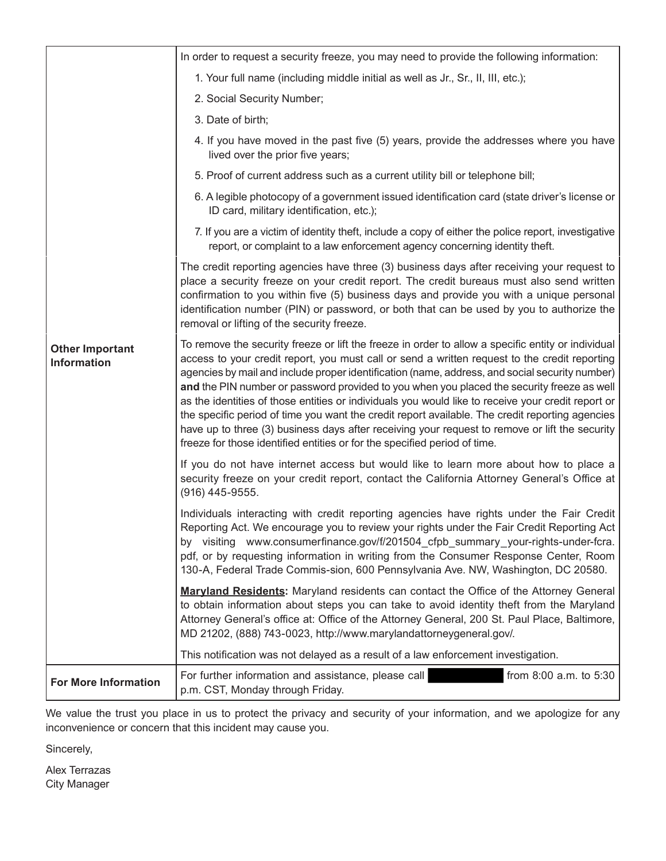|                                              | In order to request a security freeze, you may need to provide the following information:                                                                                                                                                                                                                                                                                                                                                                                                                                                                                                                                                                                                                                                                                                   |  |
|----------------------------------------------|---------------------------------------------------------------------------------------------------------------------------------------------------------------------------------------------------------------------------------------------------------------------------------------------------------------------------------------------------------------------------------------------------------------------------------------------------------------------------------------------------------------------------------------------------------------------------------------------------------------------------------------------------------------------------------------------------------------------------------------------------------------------------------------------|--|
| <b>Other Important</b><br><b>Information</b> | 1. Your full name (including middle initial as well as Jr., Sr., II, III, etc.);                                                                                                                                                                                                                                                                                                                                                                                                                                                                                                                                                                                                                                                                                                            |  |
|                                              | 2. Social Security Number;                                                                                                                                                                                                                                                                                                                                                                                                                                                                                                                                                                                                                                                                                                                                                                  |  |
|                                              | 3. Date of birth;                                                                                                                                                                                                                                                                                                                                                                                                                                                                                                                                                                                                                                                                                                                                                                           |  |
|                                              | 4. If you have moved in the past five (5) years, provide the addresses where you have<br>lived over the prior five years;                                                                                                                                                                                                                                                                                                                                                                                                                                                                                                                                                                                                                                                                   |  |
|                                              | 5. Proof of current address such as a current utility bill or telephone bill;                                                                                                                                                                                                                                                                                                                                                                                                                                                                                                                                                                                                                                                                                                               |  |
|                                              | 6. A legible photocopy of a government issued identification card (state driver's license or<br>ID card, military identification, etc.);                                                                                                                                                                                                                                                                                                                                                                                                                                                                                                                                                                                                                                                    |  |
|                                              | 7. If you are a victim of identity theft, include a copy of either the police report, investigative<br>report, or complaint to a law enforcement agency concerning identity theft.                                                                                                                                                                                                                                                                                                                                                                                                                                                                                                                                                                                                          |  |
|                                              | The credit reporting agencies have three (3) business days after receiving your request to<br>place a security freeze on your credit report. The credit bureaus must also send written<br>confirmation to you within five (5) business days and provide you with a unique personal<br>identification number (PIN) or password, or both that can be used by you to authorize the<br>removal or lifting of the security freeze.                                                                                                                                                                                                                                                                                                                                                               |  |
|                                              | To remove the security freeze or lift the freeze in order to allow a specific entity or individual<br>access to your credit report, you must call or send a written request to the credit reporting<br>agencies by mail and include proper identification (name, address, and social security number)<br>and the PIN number or password provided to you when you placed the security freeze as well<br>as the identities of those entities or individuals you would like to receive your credit report or<br>the specific period of time you want the credit report available. The credit reporting agencies<br>have up to three (3) business days after receiving your request to remove or lift the security<br>freeze for those identified entities or for the specified period of time. |  |
|                                              | If you do not have internet access but would like to learn more about how to place a<br>security freeze on your credit report, contact the California Attorney General's Office at<br>(916) 445-9555.                                                                                                                                                                                                                                                                                                                                                                                                                                                                                                                                                                                       |  |
|                                              | Individuals interacting with credit reporting agencies have rights under the Fair Credit<br>Reporting Act. We encourage you to review your rights under the Fair Credit Reporting Act<br>by visiting www.consumerfinance.gov/f/201504 cfpb summary your-rights-under-fcra.<br>pdf, or by requesting information in writing from the Consumer Response Center, Room<br>130-A, Federal Trade Commis-sion, 600 Pennsylvania Ave. NW, Washington, DC 20580.                                                                                                                                                                                                                                                                                                                                     |  |
|                                              | <b>Maryland Residents:</b> Maryland residents can contact the Office of the Attorney General<br>to obtain information about steps you can take to avoid identity theft from the Maryland<br>Attorney General's office at: Office of the Attorney General, 200 St. Paul Place, Baltimore,<br>MD 21202, (888) 743-0023, http://www.marylandattorneygeneral.gov/.                                                                                                                                                                                                                                                                                                                                                                                                                              |  |
|                                              | This notification was not delayed as a result of a law enforcement investigation.                                                                                                                                                                                                                                                                                                                                                                                                                                                                                                                                                                                                                                                                                                           |  |
| <b>For More Information</b>                  | For further information and assistance, please call<br>from 8:00 a.m. to 5:30<br>p.m. CST, Monday through Friday.                                                                                                                                                                                                                                                                                                                                                                                                                                                                                                                                                                                                                                                                           |  |

We value the trust you place in us to protect the privacy and security of your information, and we apologize for any inconvenience or concern that this incident may cause you.

Sincerely,

Alex Terrazas City Manager